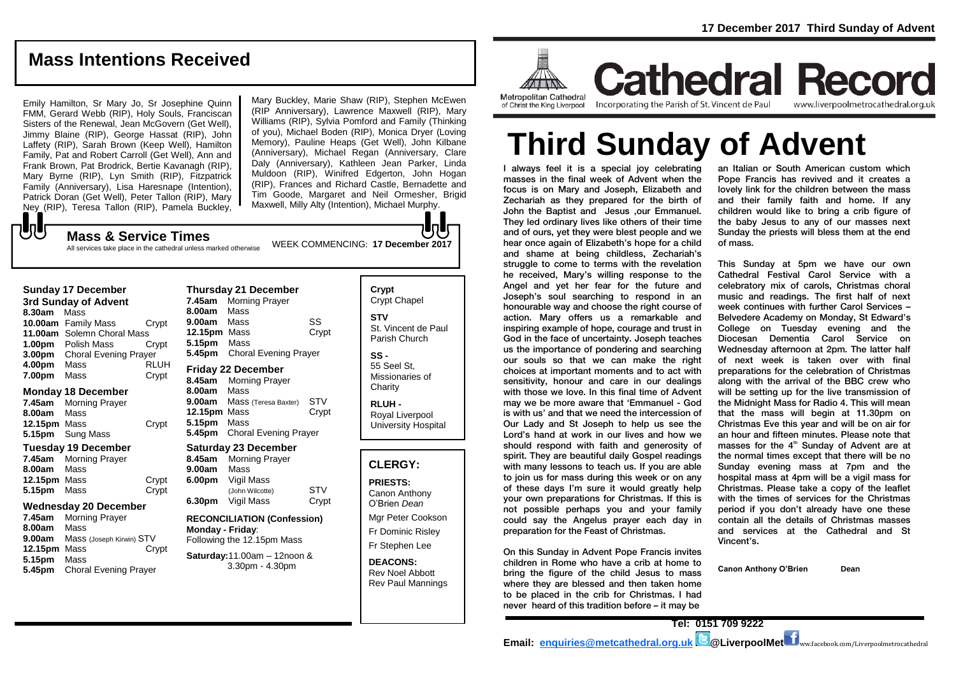# **Mass Intentions Received**

Emily Hamilton, Sr Mary Jo, Sr Josephine Quinn FMM, Gerard Webb (RIP), Holy Souls, Franciscan Sisters of the Renewal, Jean McGovern (Get Well), Jimmy Blaine (RIP), George Hassat (RIP), John Laffety (RIP), Sarah Brown (Keep Well), Hamilton Family, Pat and Robert Carroll (Get Well), Ann and Frank Brown, Pat Brodrick, Bertie Kavanagh (RIP), Mary Byrne (RIP), Lyn Smith (RIP), Fitzpatrick Family (Anniversary), Lisa Haresnape (Intention), Patrick Doran (Get Well), Peter Tallon (RIP), Mary Ney (RIP), Teresa Tallon (RIP), Pamela Buckley,

Mary Buckley, Marie Shaw (RIP), Stephen McEwen (RIP Anniversary), Lawrence Maxwell (RIP), Mary Williams (RIP), Sylvia Pomford and Family (Thinking of you), Michael Boden (RIP), Monica Dryer (Loving Memory), Pauline Heaps (Get Well), John Kilbane (Anniversary), Michael Regan (Anniversary, Clare Daly (Anniversary), Kathleen Jean Parker, Linda Muldoon (RIP), Winifred Edgerton, John Hogan (RIP), Frances and Richard Castle, Bernadette and Tim Goode, Margaret and Neil Ormesher, Brigid Maxwell, Milly Alty (Intention), Michael Murphy.

## WEEK COMMENCING: **17 December 2017 Mass & Service Times**

All services take place in the cathedral unless marked otherwise

### **Sunday 17 December**

もし

**3rd Sunday of Advent 8.30am** Mass **10.00am** Family Mass Crypt **11.00am** Solemn Choral Mass **1.00pm** Polish Mass Crypt **3.00pm** Choral Evening Prayer **4.00pm** Mass RLUH **7.00pm** Mass Crypt

## **Monday 18 December**

**7.45am** Morning Prayer **8.00am** Mass **12.15pm** Mass Crypt **5.15pm** Sung Mass

#### **Tuesday 19 December**

**7.45am** Morning Prayer **8.00am** Mass **12.15pm** Mass Crypt<br> **5.15pm** Mass Crypt **5.15pm** Mass

#### **Wednesday 20 December**

**7.45am** Morning Prayer **8.00am** Mass **9.00am** Mass (Joseph Kirwin) STV<br>**12.15pm** Mass Crvpt **12.15pm Mass 5.15pm** Mass **5.45pm** Choral Evening Prayer

**Thursday 21 December 7.45am** Morning Prayer **8.00am** Mass **9.00am** Mass SS **12.15pm** Mass Crypt **5.15pm** Mass **5.45pm** Choral Evening Prayer

## **Friday 22 December**

**8.45am** Morning Prayer **8.00am** Mass **9.00am** Mass (Teresa Baxter) STV **12.15pm** Mass Crypt **5.15pm** Mass **5.45pm** Choral Evening Prayer

#### **Saturday 23 December**

**8.45am** Morning Prayer **9.00am** Mass **6.00pm** Vigil Mass (John Wilcotte) STV **6.30pm** Vigil Mass Crypt

## **RECONCILIATION (Confession) Monday - Friday**: Following the 12.15pm Mass

**Saturday:**11.00am – 12noon & 3.30pm - 4.30pm

**Crypt**  Crypt Chapel **STV** St. Vincent de Paul Parish Church

**SS -** 55 Seel St, Missionaries of **Charity** 

**RLUH -** Royal Liverpool University Hospital

## **CLERGY:**

**PRIESTS:** Canon Anthony O'Brien *Dean* Mgr Peter Cookson

Fr Dominic Risley Fr Stephen Lee

**DEACONS:** Rev Noel Abbott Rev Paul Mannings



**Cathedral Record** of Christ the King Liverpool

Incorporating the Parish of St. Vincent de Paul www.liverpoolmetrocathedral.org.uk

# **Third Sunday of Advent**

I always feel it is a special joy celebrating masses in the final week of Advent when the focus is on Mary and Joseph, Elizabeth and Zechariah as they prepared for the birth of John the Baptist and Jesus ,our Emmanuel. They led ordinary lives like others of their time and of ours, yet they were blest people and we hear once again of Elizabeth's hope for a child and shame at being childless, Zechariah's struggle to come to terms with the revelation he received, Mary's willing response to the Angel and yet her fear for the future and Joseph's soul searching to respond in an honourable way and choose the right course of action. Mary offers us a remarkable and inspiring example of hope, courage and trust in God in the face of uncertainty. Joseph teaches us the importance of pondering and searching our souls so that we can make the right choices at important moments and to act with sensitivity, honour and care in our dealings with those we love. In this final time of Advent may we be more aware that 'Emmanuel - God is with us' and that we need the intercession of Our Lady and St Joseph to help us see the Lord's hand at work in our lives and how we should respond with faith and generosity of spirit. They are beautiful daily Gospel readings with many lessons to teach us. If you are able to join us for mass during this week or on any of these days I'm sure it would greatly help your own preparations for Christmas. If this is not possible perhaps you and your family could say the Angelus prayer each day in preparation for the Feast of Christmas.

On this Sunday in Advent Pope Francis invites children in Rome who have a crib at home to bring the figure of the child Jesus to mass where they are blessed and then taken home to be placed in the crib for Christmas. I had never heard of this tradition before – it may be

an Italian or South American custom which Pope Francis has revived and it creates a lovely link for the children between the mass and their family faith and home. If any children would like to bring a crib figure of the baby Jesus to any of our masses next Sunday the priests will bless them at the end of mass.

This Sunday at 5pm we have our own Cathedral Festival Carol Service with a celebratory mix of carols, Christmas choral music and readings. The first half of next week continues with further Carol Services – Belvedere Academy on Monday, St Edward's College on Tuesday evening and the Diocesan Dementia Carol Service on Wednesday afternoon at 2pm. The latter half of next week is taken over with final preparations for the celebration of Christmas along with the arrival of the BBC crew who will be setting up for the live transmission of the Midnight Mass for Radio 4. This will mean that the mass will begin at 11.30pm on Christmas Eve this year and will be on air for an hour and fifteen minutes. Please note that masses for the  $4<sup>th</sup>$  Sunday of Advent are at the normal times except that there will be no Sunday evening mass at 7pm and the hospital mass at 4pm will be a vigil mass for Christmas. Please take a copy of the leaflet with the times of services for the Christmas period if you don't already have one these contain all the details of Christmas masses and services at the Cathedral and St Vincent's.

**Canon Anthony O'Brien Dean**